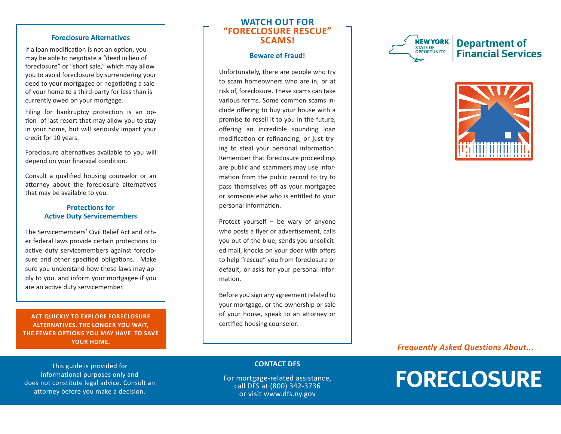#### **Foreclosure Alternatives**

If a loan modification is not an option, you may be able to negotiate a "deed in lieu of foreclosure" or "short sale," which may allow you to avoid foreclosure by surrendering your deed to your mortgagee or negotiating a sale of your home to a third-party for less than is currently owed on your mortgage.

Filing for bankruptcy protection is an option of last resort that may allow you to stay in your home, but will seriously impact your credit for 10 years.

Foreclosure alternatives available to you will depend on your financial condition.

Consult a qualified housing counselor or an attorney about the foreclosure alternatives that may be available to you.

#### **Protections for Active Duty Servicemembers**

The Servicemembers' Civil Relief Act and oth er federal laws provide certain protections to active duty servicemembers against foreclo sure and other specified obligations. Make sure you understand how these laws may ap ply to you, and inform your mortgagee if you are an active duty servicemember.

**ACT QUICKLY TO EXPLORE FORECLOSURE ALTERNATIVES. THE LONGER YOU WAIT, THE FEWER OPTIONS YOU MAY HAVE TO SAVE YOUR HOME.**

This guide is provided for informational purposes only and does not constitute legal advice. Consult an attorney before you make a decision.

# **WATCH OUT FOR "FORECLOSURE RESCUE" SCAMS!**

#### **Beware of Fraud!**

Unfortunately, there are people who try to scam homeowners who are in, or at risk of, foreclosure. These scams can take various forms. Some common scams in clude offering to buy your house with a promise to resell it to you in the future, offering an incredible sounding loan modification or refinancing, or just try ing to steal your personal information. Remember that foreclosure proceedings are public and scammers may use infor mation from the public record to try to pass themselves off as your mortgagee or someone else who is entitled to your personal information.

Protect yourself – be wary of anyone who posts a flyer or advertisement, calls you out of the blue, sends you unsolicit ed mail, knocks on your door with offers to help "rescue" you from foreclosure or default, or asks for your personal infor mation.

Before you sign any agreement related to your mortgage, or the ownership or sale of your house, speak to an attorney or certified housing counselor.





# *Frequently Asked Questions About...*

# **FORECLOSURE**

#### **CONTACT DFS**

For mortgage-related assistance, call DFS at (800) 342-3736 or visit www.dfs.ny.gov